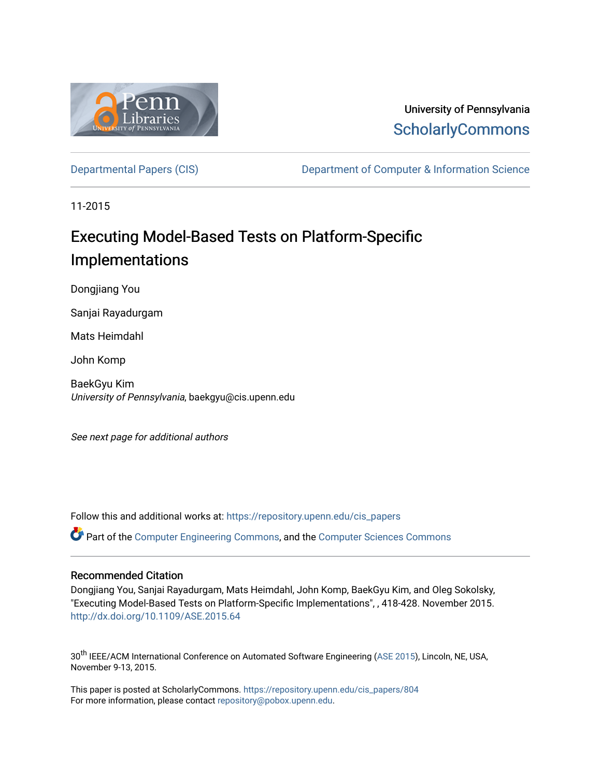

## University of Pennsylvania **ScholarlyCommons**

[Departmental Papers \(CIS\)](https://repository.upenn.edu/cis_papers) Department of Computer & Information Science

11-2015

# Executing Model-Based Tests on Platform-Specific Implementations

Dongjiang You

Sanjai Rayadurgam

Mats Heimdahl

John Komp

BaekGyu Kim University of Pennsylvania, baekgyu@cis.upenn.edu

See next page for additional authors

Follow this and additional works at: [https://repository.upenn.edu/cis\\_papers](https://repository.upenn.edu/cis_papers?utm_source=repository.upenn.edu%2Fcis_papers%2F804&utm_medium=PDF&utm_campaign=PDFCoverPages)

Part of the [Computer Engineering Commons,](http://network.bepress.com/hgg/discipline/258?utm_source=repository.upenn.edu%2Fcis_papers%2F804&utm_medium=PDF&utm_campaign=PDFCoverPages) and the [Computer Sciences Commons](http://network.bepress.com/hgg/discipline/142?utm_source=repository.upenn.edu%2Fcis_papers%2F804&utm_medium=PDF&utm_campaign=PDFCoverPages) 

## Recommended Citation

Dongjiang You, Sanjai Rayadurgam, Mats Heimdahl, John Komp, BaekGyu Kim, and Oleg Sokolsky, "Executing Model-Based Tests on Platform-Specific Implementations", , 418-428. November 2015. <http://dx.doi.org/10.1109/ASE.2015.64>

30<sup>th</sup> IEEE/ACM International Conference on Automated Software Engineering [\(ASE 2015](http://ase2015.unl.edu/)), Lincoln, NE, USA, November 9-13, 2015.

This paper is posted at ScholarlyCommons. [https://repository.upenn.edu/cis\\_papers/804](https://repository.upenn.edu/cis_papers/804)  For more information, please contact [repository@pobox.upenn.edu.](mailto:repository@pobox.upenn.edu)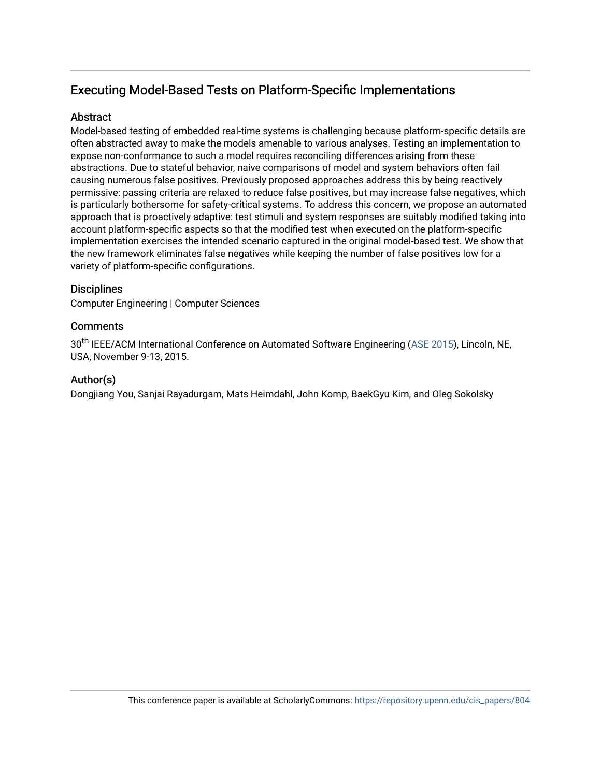## Executing Model-Based Tests on Platform-Specific Implementations

## **Abstract**

Model-based testing of embedded real-time systems is challenging because platform-specific details are often abstracted away to make the models amenable to various analyses. Testing an implementation to expose non-conformance to such a model requires reconciling differences arising from these abstractions. Due to stateful behavior, naive comparisons of model and system behaviors often fail causing numerous false positives. Previously proposed approaches address this by being reactively permissive: passing criteria are relaxed to reduce false positives, but may increase false negatives, which is particularly bothersome for safety-critical systems. To address this concern, we propose an automated approach that is proactively adaptive: test stimuli and system responses are suitably modified taking into account platform-specific aspects so that the modified test when executed on the platform-specific implementation exercises the intended scenario captured in the original model-based test. We show that the new framework eliminates false negatives while keeping the number of false positives low for a variety of platform-specific configurations.

## **Disciplines**

Computer Engineering | Computer Sciences

## **Comments**

30<sup>th</sup> IEEE/ACM International Conference on Automated Software Engineering ([ASE 2015](http://ase2015.unl.edu/)), Lincoln, NE, USA, November 9-13, 2015.

## Author(s)

Dongjiang You, Sanjai Rayadurgam, Mats Heimdahl, John Komp, BaekGyu Kim, and Oleg Sokolsky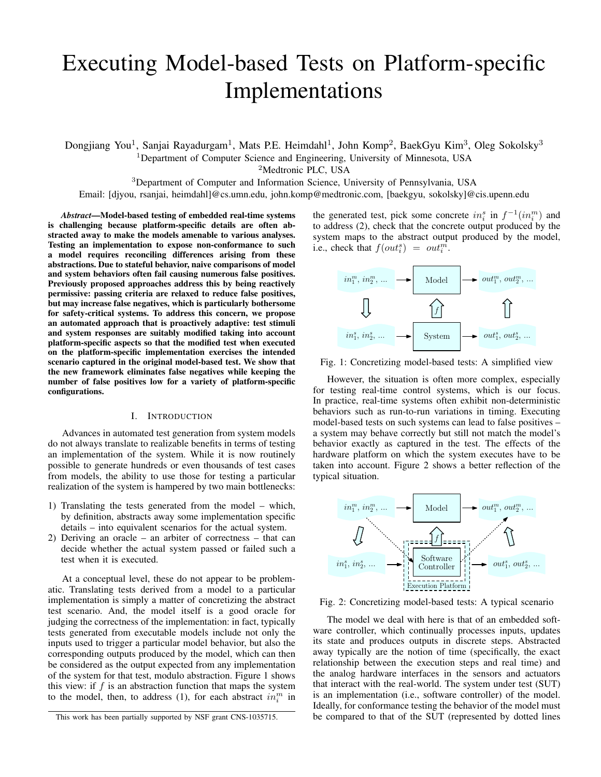# Executing Model-based Tests on Platform-specific Implementations

Dongjiang You<sup>1</sup>, Sanjai Rayadurgam<sup>1</sup>, Mats P.E. Heimdahl<sup>1</sup>, John Komp<sup>2</sup>, BaekGyu Kim<sup>3</sup>, Oleg Sokolsky<sup>3</sup> <sup>1</sup>Department of Computer Science and Engineering, University of Minnesota, USA

<sup>2</sup>Medtronic PLC, USA

<sup>3</sup>Department of Computer and Information Science, University of Pennsylvania, USA

Email: [djyou, rsanjai, heimdahl]@cs.umn.edu, john.komp@medtronic.com, [baekgyu, sokolsky]@cis.upenn.edu

*Abstract*—Model-based testing of embedded real-time systems is challenging because platform-specific details are often abstracted away to make the models amenable to various analyses. Testing an implementation to expose non-conformance to such a model requires reconciling differences arising from these abstractions. Due to stateful behavior, naive comparisons of model and system behaviors often fail causing numerous false positives. Previously proposed approaches address this by being reactively permissive: passing criteria are relaxed to reduce false positives, but may increase false negatives, which is particularly bothersome for safety-critical systems. To address this concern, we propose an automated approach that is proactively adaptive: test stimuli and system responses are suitably modified taking into account platform-specific aspects so that the modified test when executed on the platform-specific implementation exercises the intended scenario captured in the original model-based test. We show that the new framework eliminates false negatives while keeping the number of false positives low for a variety of platform-specific configurations.

#### I. INTRODUCTION

Advances in automated test generation from system models do not always translate to realizable benefits in terms of testing an implementation of the system. While it is now routinely possible to generate hundreds or even thousands of test cases from models, the ability to use those for testing a particular realization of the system is hampered by two main bottlenecks:

- 1) Translating the tests generated from the model which, by definition, abstracts away some implementation specific details – into equivalent scenarios for the actual system.
- 2) Deriving an oracle an arbiter of correctness that can decide whether the actual system passed or failed such a test when it is executed.

At a conceptual level, these do not appear to be problematic. Translating tests derived from a model to a particular implementation is simply a matter of concretizing the abstract test scenario. And, the model itself is a good oracle for judging the correctness of the implementation: in fact, typically tests generated from executable models include not only the inputs used to trigger a particular model behavior, but also the corresponding outputs produced by the model, which can then be considered as the output expected from any implementation of the system for that test, modulo abstraction. Figure 1 shows this view: if  $f$  is an abstraction function that maps the system to the model, then, to address (1), for each abstract  $in_i^m$  in

the generated test, pick some concrete  $in_i^s$  in  $f^{-1}(in_i^m)$  and to address (2), check that the concrete output produced by the system maps to the abstract output produced by the model, i.e., check that  $f(out_i^s) = out_i^m$ .



Fig. 1: Concretizing model-based tests: A simplified view

However, the situation is often more complex, especially for testing real-time control systems, which is our focus. In practice, real-time systems often exhibit non-deterministic behaviors such as run-to-run variations in timing. Executing model-based tests on such systems can lead to false positives – a system may behave correctly but still not match the model's behavior exactly as captured in the test. The effects of the hardware platform on which the system executes have to be taken into account. Figure 2 shows a better reflection of the typical situation.



Fig. 2: Concretizing model-based tests: A typical scenario

The model we deal with here is that of an embedded software controller, which continually processes inputs, updates its state and produces outputs in discrete steps. Abstracted away typically are the notion of time (specifically, the exact relationship between the execution steps and real time) and the analog hardware interfaces in the sensors and actuators that interact with the real-world. The system under test (SUT) is an implementation (i.e., software controller) of the model. Ideally, for conformance testing the behavior of the model must be compared to that of the SUT (represented by dotted lines

This work has been partially supported by NSF grant CNS-1035715.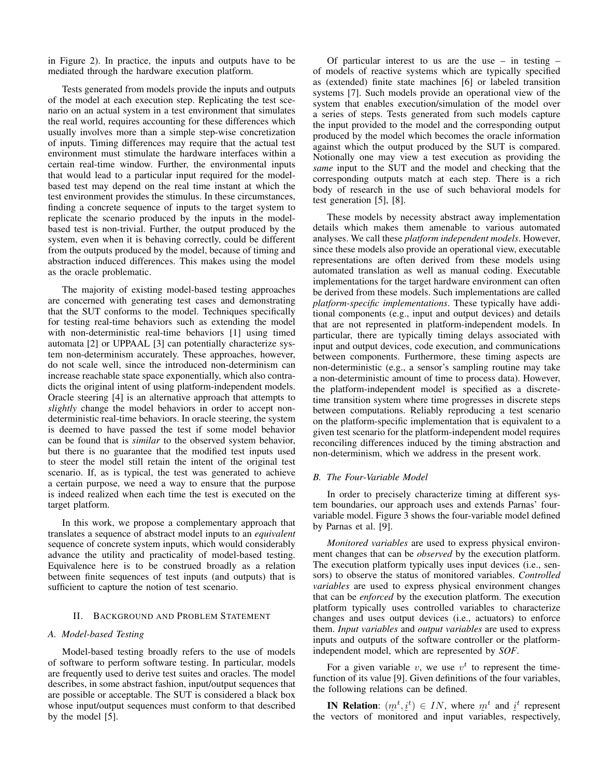in Figure 2). In practice, the inputs and outputs have to be mediated through the hardware execution platform.

Tests generated from models provide the inputs and outputs of the model at each execution step. Replicating the test scenario on an actual system in a test environment that simulates the real world, requires accounting for these differences which usually involves more than a simple step-wise concretization of inputs. Timing differences may require that the actual test environment must stimulate the hardware interfaces within a certain real-time window. Further, the environmental inputs that would lead to a particular input required for the modelbased test may depend on the real time instant at which the test environment provides the stimulus. In these circumstances, finding a concrete sequence of inputs to the target system to replicate the scenario produced by the inputs in the modelbased test is non-trivial. Further, the output produced by the system, even when it is behaving correctly, could be different from the outputs produced by the model, because of timing and abstraction induced differences. This makes using the model as the oracle problematic.

The majority of existing model-based testing approaches are concerned with generating test cases and demonstrating that the SUT conforms to the model. Techniques specifically for testing real-time behaviors such as extending the model with non-deterministic real-time behaviors [1] using timed automata [2] or UPPAAL [3] can potentially characterize system non-determinism accurately. These approaches, however, do not scale well, since the introduced non-determinism can increase reachable state space exponentially, which also contradicts the original intent of using platform-independent models. Oracle steering [4] is an alternative approach that attempts to *slightly* change the model behaviors in order to accept nondeterministic real-time behaviors. In oracle steering, the system is deemed to have passed the test if some model behavior can be found that is *similar* to the observed system behavior, but there is no guarantee that the modified test inputs used to steer the model still retain the intent of the original test scenario. If, as is typical, the test was generated to achieve a certain purpose, we need a way to ensure that the purpose is indeed realized when each time the test is executed on the target platform.

In this work, we propose a complementary approach that translates a sequence of abstract model inputs to an *equivalent* sequence of concrete system inputs, which would considerably advance the utility and practicality of model-based testing. Equivalence here is to be construed broadly as a relation between finite sequences of test inputs (and outputs) that is sufficient to capture the notion of test scenario.

#### II. BACKGROUND AND PROBLEM STATEMENT

#### *A. Model-based Testing*

Model-based testing broadly refers to the use of models of software to perform software testing. In particular, models are frequently used to derive test suites and oracles. The model describes, in some abstract fashion, input/output sequences that are possible or acceptable. The SUT is considered a black box whose input/output sequences must conform to that described by the model [5].

Of particular interest to us are the use – in testing  $$ of models of reactive systems which are typically specified as (extended) finite state machines [6] or labeled transition systems [7]. Such models provide an operational view of the system that enables execution/simulation of the model over a series of steps. Tests generated from such models capture the input provided to the model and the corresponding output produced by the model which becomes the oracle information against which the output produced by the SUT is compared. Notionally one may view a test execution as providing the *same* input to the SUT and the model and checking that the corresponding outputs match at each step. There is a rich body of research in the use of such behavioral models for test generation [5], [8].

These models by necessity abstract away implementation details which makes them amenable to various automated analyses. We call these *platform independent models*. However, since these models also provide an operational view, executable representations are often derived from these models using automated translation as well as manual coding. Executable implementations for the target hardware environment can often be derived from these models. Such implementations are called *platform-specific implementations*. These typically have additional components (e.g., input and output devices) and details that are not represented in platform-independent models. In particular, there are typically timing delays associated with input and output devices, code execution, and communications between components. Furthermore, these timing aspects are non-deterministic (e.g., a sensor's sampling routine may take a non-deterministic amount of time to process data). However, the platform-independent model is specified as a discretetime transition system where time progresses in discrete steps between computations. Reliably reproducing a test scenario on the platform-specific implementation that is equivalent to a given test scenario for the platform-independent model requires reconciling differences induced by the timing abstraction and non-determinism, which we address in the present work.

#### *B. The Four-Variable Model*

In order to precisely characterize timing at different system boundaries, our approach uses and extends Parnas' fourvariable model. Figure 3 shows the four-variable model defined by Parnas et al. [9].

*Monitored variables* are used to express physical environment changes that can be *observed* by the execution platform. The execution platform typically uses input devices (i.e., sensors) to observe the status of monitored variables. *Controlled variables* are used to express physical environment changes that can be *enforced* by the execution platform. The execution platform typically uses controlled variables to characterize changes and uses output devices (i.e., actuators) to enforce them. *Input variables* and *output variables* are used to express inputs and outputs of the software controller or the platformindependent model, which are represented by *SOF*.

For a given variable v, we use  $v^t$  to represent the timefunction of its value [9]. Given definitions of the four variables, the following relations can be defined.

**IN Relation**:  $(m^t, i^t) \in IN$ , where  $m^t$  and  $i^t$  represent the vectors of monitored and input variables, respectively,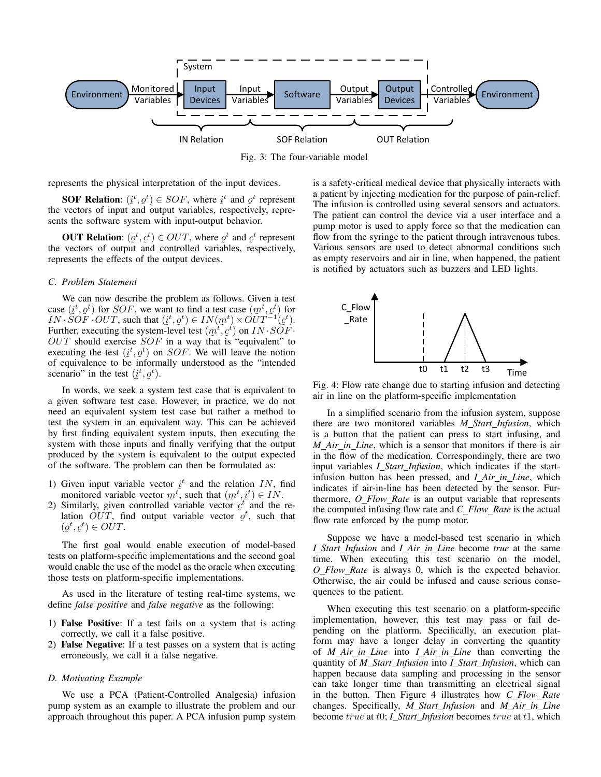

Fig. 3: The four-variable model

represents the physical interpretation of the input devices.

**SOF Relation:**  $(i^t, \varrho^t) \in SOF$ , where  $i^t$  and  $\varrho^t$  represent the vectors of input and output variables, respectively, represents the software system with input-output behavior.

**OUT Relation:**  $(\varrho^t, \varrho^t) \in OUT$ , where  $\varrho^t$  and  $\varrho^t$  represent the vectors of output and controlled variables, respectively, represents the effects of the output devices.

#### *C. Problem Statement*

We can now describe the problem as follows. Given a test case  $(i^t, \varrho^t)$  for  $SOF$ , we want to find a test case  $(m^t, \varrho^t)$  for  $IN \cdot \widetilde{SOF} \cdot OUT$ , such that  $(i^t, \varrho^t) \in IN(m^t) \times \widetilde{OUT}^{-1}(\varrho^t)$ . Further, executing the system-level test  $(m^t, g^t)$  on  $IN \cdot S\widetilde{OF}$ . OUT should exercise  $SOF$  in a way that is "equivalent" to executing the test  $(i^t, \varrho^t)$  on *SOF*. We will leave the notion ˜ ˜ of equivalence to be informally understood as the "intended scenario" in the test  $(i^t, \varrho^t)$ .

In words, we seek a system test case that is equivalent to a given software test case. However, in practice, we do not need an equivalent system test case but rather a method to test the system in an equivalent way. This can be achieved by first finding equivalent system inputs, then executing the system with those inputs and finally verifying that the output produced by the system is equivalent to the output expected of the software. The problem can then be formulated as:

- 1) Given input variable vector  $i<sup>t</sup>$  and the relation IN, find monitored variable vector  $m^t$ , such that  $(m^t, i^t) \in IN$ .
- 2) Similarly, given controlled variable vector  $c^t$  and the relation  $\overrightarrow{OUT}$ , find output variable vector  $\tilde{\varrho}^t$ , such that  $(\varrho^t, c^t) \in \overrightarrow{OUT}$  $(\varrho^t, \varrho^t) \in OUT.$  $\tilde{\phantom{a}}$  $\tilde{\phantom{a}}$

The first goal would enable execution of model-based tests on platform-specific implementations and the second goal would enable the use of the model as the oracle when executing those tests on platform-specific implementations.

As used in the literature of testing real-time systems, we define *false positive* and *false negative* as the following:

- 1) False Positive: If a test fails on a system that is acting correctly, we call it a false positive.
- 2) False Negative: If a test passes on a system that is acting erroneously, we call it a false negative.

#### *D. Motivating Example*

We use a PCA (Patient-Controlled Analgesia) infusion pump system as an example to illustrate the problem and our approach throughout this paper. A PCA infusion pump system is a safety-critical medical device that physically interacts with a patient by injecting medication for the purpose of pain-relief. The infusion is controlled using several sensors and actuators. The patient can control the device via a user interface and a pump motor is used to apply force so that the medication can flow from the syringe to the patient through intravenous tubes. Various sensors are used to detect abnormal conditions such as empty reservoirs and air in line, when happened, the patient is notified by actuators such as buzzers and LED lights.



Fig. 4: Flow rate change due to starting infusion and detecting air in line on the platform-specific implementation

In a simplified scenario from the infusion system, suppose there are two monitored variables *M Start Infusion*, which is a button that the patient can press to start infusing, and *M Air in Line*, which is a sensor that monitors if there is air in the flow of the medication. Correspondingly, there are two input variables *I Start Infusion*, which indicates if the startinfusion button has been pressed, and *I Air in Line*, which indicates if air-in-line has been detected by the sensor. Furthermore, *O Flow Rate* is an output variable that represents the computed infusing flow rate and *C Flow Rate* is the actual flow rate enforced by the pump motor.

Suppose we have a model-based test scenario in which *I Start Infusion* and *I Air in Line* become *true* at the same time. When executing this test scenario on the model, *O Flow Rate* is always 0, which is the expected behavior. Otherwise, the air could be infused and cause serious consequences to the patient.

When executing this test scenario on a platform-specific implementation, however, this test may pass or fail depending on the platform. Specifically, an execution platform may have a longer delay in converting the quantity of *M Air in Line* into *I Air in Line* than converting the quantity of *M Start Infusion* into *I Start Infusion*, which can happen because data sampling and processing in the sensor can take longer time than transmitting an electrical signal in the button. Then Figure 4 illustrates how *C Flow Rate* changes. Specifically, *M Start Infusion* and *M Air in Line* become true at t0; *I Start Infusion* becomes true at t1, which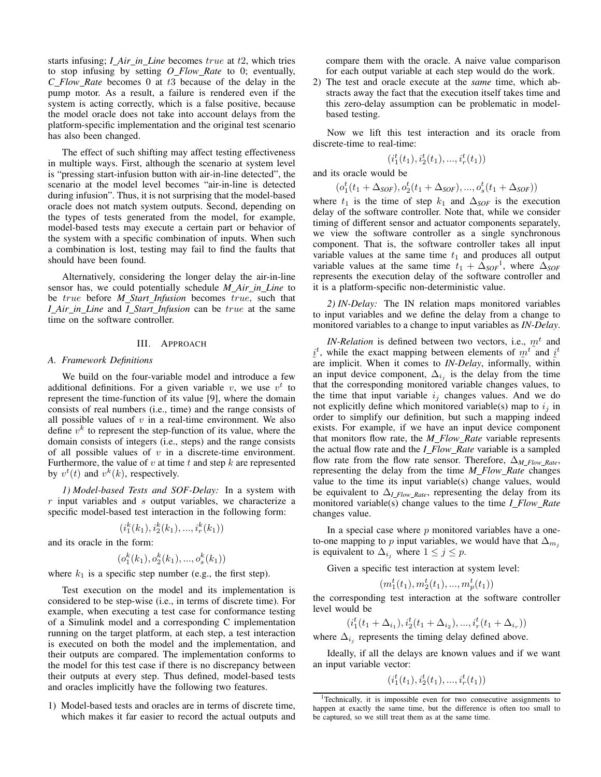starts infusing; *I Air in Line* becomes true at t2, which tries to stop infusing by setting *O Flow Rate* to 0; eventually, *C Flow Rate* becomes 0 at t3 because of the delay in the pump motor. As a result, a failure is rendered even if the system is acting correctly, which is a false positive, because the model oracle does not take into account delays from the platform-specific implementation and the original test scenario has also been changed.

The effect of such shifting may affect testing effectiveness in multiple ways. First, although the scenario at system level is "pressing start-infusion button with air-in-line detected", the scenario at the model level becomes "air-in-line is detected during infusion". Thus, it is not surprising that the model-based oracle does not match system outputs. Second, depending on the types of tests generated from the model, for example, model-based tests may execute a certain part or behavior of the system with a specific combination of inputs. When such a combination is lost, testing may fail to find the faults that should have been found.

Alternatively, considering the longer delay the air-in-line sensor has, we could potentially schedule *M Air in Line* to be true before *M Start Infusion* becomes true, such that *I Air in Line* and *I Start Infusion* can be true at the same time on the software controller.

#### III. APPROACH

#### *A. Framework Definitions*

We build on the four-variable model and introduce a few additional definitions. For a given variable v, we use  $v<sup>t</sup>$  to represent the time-function of its value [9], where the domain consists of real numbers (i.e., time) and the range consists of all possible values of  $v$  in a real-time environment. We also define  $v^k$  to represent the step-function of its value, where the domain consists of integers (i.e., steps) and the range consists of all possible values of  $v$  in a discrete-time environment. Furthermore, the value of  $v$  at time  $t$  and step  $k$  are represented by  $v^t(t)$  and  $v^k(k)$ , respectively.

*1) Model-based Tests and SOF-Delay:* In a system with  $r$  input variables and  $s$  output variables, we characterize a specific model-based test interaction in the following form:

$$
(i_1^k(k_1), i_2^k(k_1), ..., i_r^k(k_1))
$$

and its oracle in the form:

k

$$
(o_1^k(k_1), o_2^k(k_1), ..., o_s^k(k_1))
$$

where  $k_1$  is a specific step number (e.g., the first step).

Test execution on the model and its implementation is considered to be step-wise (i.e., in terms of discrete time). For example, when executing a test case for conformance testing of a Simulink model and a corresponding C implementation running on the target platform, at each step, a test interaction is executed on both the model and the implementation, and their outputs are compared. The implementation conforms to the model for this test case if there is no discrepancy between their outputs at every step. Thus defined, model-based tests and oracles implicitly have the following two features.

1) Model-based tests and oracles are in terms of discrete time, which makes it far easier to record the actual outputs and compare them with the oracle. A naive value comparison for each output variable at each step would do the work.

2) The test and oracle execute at the *same* time, which abstracts away the fact that the execution itself takes time and this zero-delay assumption can be problematic in modelbased testing.

Now we lift this test interaction and its oracle from discrete-time to real-time:

$$
(i_1^t(t_1), i_2^t(t_1), ..., i_r^t(t_1))
$$

and its oracle would be

$$
(o_1^t(t_1 + \Delta_{SOF}), o_2^t(t_1 + \Delta_{SOF}), ..., o_s^t(t_1 + \Delta_{SOF}))
$$

where  $t_1$  is the time of step  $k_1$  and  $\Delta_{SOF}$  is the execution delay of the software controller. Note that, while we consider timing of different sensor and actuator components separately, we view the software controller as a single synchronous component. That is, the software controller takes all input variable values at the same time  $t_1$  and produces all output variable values at the same time  $t_1 + \overline{\Delta}_{SOF}^1$ , where  $\overline{\Delta}_{SOF}$ represents the execution delay of the software controller and it is a platform-specific non-deterministic value.

*2) IN-Delay:* The IN relation maps monitored variables to input variables and we define the delay from a change to monitored variables to a change to input variables as *IN-Delay*.

*IN-Relation* is defined between two vectors, i.e.,  $m<sup>t</sup>$  and  $i<sup>t</sup>$ , while the exact mapping between elements of  $m<sup>t</sup>$  and  $i<sup>t</sup>$ are implicit. When it comes to *IN-Delay*, informally, within an input device component,  $\Delta_{i_j}$  is the delay from the time that the corresponding monitored variable changes values, to the time that input variable  $i_j$  changes values. And we do not explicitly define which monitored variable(s) map to  $i_j$  in order to simplify our definition, but such a mapping indeed exists. For example, if we have an input device component that monitors flow rate, the *M Flow Rate* variable represents the actual flow rate and the *I Flow Rate* variable is a sampled flow rate from the flow rate sensor. Therefore, ∆*<sup>M</sup> Flow Rate*, representing the delay from the time *M Flow Rate* changes value to the time its input variable(s) change values, would be equivalent to  $\Delta_{I\_Flow\_Rate}$ , representing the delay from its monitored variable(s) change values to the time *I Flow Rate* changes value.

In a special case where  $p$  monitored variables have a oneto-one mapping to p input variables, we would have that  $\Delta_{m_i}$ is equivalent to  $\Delta_{i_j}$  where  $1 \leq j \leq p$ .

Given a specific test interaction at system level:

$$
(m_1^t(t_1), m_2^t(t_1), ..., m_p^t(t_1))
$$

the corresponding test interaction at the software controller level would be

$$
(i_1^t(t_1 + \Delta_{i_1}), i_2^t(t_1 + \Delta_{i_2}), ..., i_r^t(t_1 + \Delta_{i_r}))
$$

where  $\Delta_{i_j}$  represents the timing delay defined above.

Ideally, if all the delays are known values and if we want an input variable vector:

 $(i_1^t(t_1), i_2^t(t_1), ..., i_r^t(t_1))$ 

<sup>&</sup>lt;sup>1</sup>Technically, it is impossible even for two consecutive assignments to happen at exactly the same time, but the difference is often too small to be captured, so we still treat them as at the same time.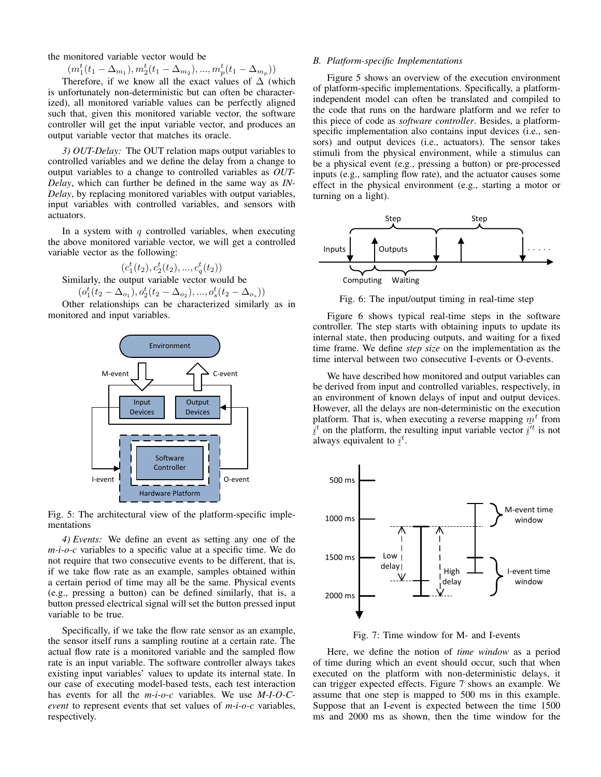the monitored variable vector would be

 $(m_1^t(t_1 - \Delta_{m_1}), m_2^t(t_1 - \Delta_{m_2}), ..., m_p^t(t_1 - \Delta_{m_p}))$ 

Therefore, if we know all the exact values of  $\Delta$  (which is unfortunately non-deterministic but can often be characterized), all monitored variable values can be perfectly aligned such that, given this monitored variable vector, the software controller will get the input variable vector, and produces an output variable vector that matches its oracle.

*3) OUT-Delay:* The OUT relation maps output variables to controlled variables and we define the delay from a change to output variables to a change to controlled variables as *OUT-Delay*, which can further be defined in the same way as *IN-Delay*, by replacing monitored variables with output variables, input variables with controlled variables, and sensors with actuators.

In a system with  $q$  controlled variables, when executing the above monitored variable vector, we will get a controlled variable vector as the following:

 $(c_1^t(t_2), c_2^t(t_2), ..., c_q^t(t_2))$ 

Similarly, the output variable vector would be

 $(o_1^t(t_2 - \Delta_{o_1}), o_2^t(t_2 - \Delta_{o_2}), ..., o_s^t(t_2 - \Delta_{o_s}))$ 

Other relationships can be characterized similarly as in monitored and input variables.



Fig. 5: The architectural view of the platform-specific implementations

*4) Events:* We define an event as setting any one of the *m-i-o-c* variables to a specific value at a specific time. We do not require that two consecutive events to be different, that is, if we take flow rate as an example, samples obtained within a certain period of time may all be the same. Physical events (e.g., pressing a button) can be defined similarly, that is, a button pressed electrical signal will set the button pressed input variable to be true.

Specifically, if we take the flow rate sensor as an example, the sensor itself runs a sampling routine at a certain rate. The actual flow rate is a monitored variable and the sampled flow rate is an input variable. The software controller always takes existing input variables' values to update its internal state. In our case of executing model-based tests, each test interaction has events for all the *m-i-o-c* variables. We use *M-I-O-Cevent* to represent events that set values of *m-i-o-c* variables, respectively.

#### *B. Platform-specific Implementations*

Figure 5 shows an overview of the execution environment of platform-specific implementations. Specifically, a platformindependent model can often be translated and compiled to the code that runs on the hardware platform and we refer to this piece of code as *software controller*. Besides, a platformspecific implementation also contains input devices (i.e., sensors) and output devices (i.e., actuators). The sensor takes stimuli from the physical environment, while a stimulus can be a physical event (e.g., pressing a button) or pre-processed inputs (e.g., sampling flow rate), and the actuator causes some effect in the physical environment (e.g., starting a motor or turning on a light).



Fig. 6: The input/output timing in real-time step

Figure 6 shows typical real-time steps in the software controller. The step starts with obtaining inputs to update its internal state, then producing outputs, and waiting for a fixed time frame. We define *step size* on the implementation as the time interval between two consecutive I-events or O-events.

We have described how monitored and output variables can be derived from input and controlled variables, respectively, in an environment of known delays of input and output devices. However, all the delays are non-deterministic on the execution platform. That is, when executing a reverse mapping  $m<sup>t</sup>$  from  $\vec{i}^t$  on the platform, the resulting input variable vector  $\vec{i}^{\prime t}$  is not always equivalent to  $i^t$ .  $\tilde{a}$ 



Fig. 7: Time window for M- and I-events

Here, we define the notion of *time window* as a period of time during which an event should occur, such that when executed on the platform with non-deterministic delays, it can trigger expected effects. Figure 7 shows an example. We assume that one step is mapped to 500 ms in this example. Suppose that an I-event is expected between the time 1500 ms and 2000 ms as shown, then the time window for the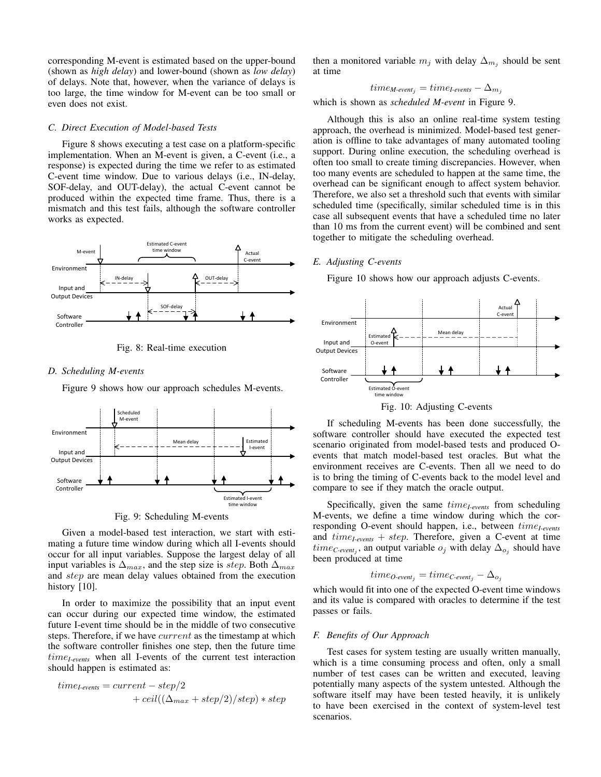corresponding M-event is estimated based on the upper-bound (shown as *high delay*) and lower-bound (shown as *low delay*) of delays. Note that, however, when the variance of delays is too large, the time window for M-event can be too small or even does not exist.

#### *C. Direct Execution of Model-based Tests*

Figure 8 shows executing a test case on a platform-specific implementation. When an M-event is given, a C-event (i.e., a response) is expected during the time we refer to as estimated C-event time window. Due to various delays (i.e., IN-delay, SOF-delay, and OUT-delay), the actual C-event cannot be produced within the expected time frame. Thus, there is a mismatch and this test fails, although the software controller works as expected.



Fig. 8: Real-time execution

#### *D. Scheduling M-events*

Figure 9 shows how our approach schedules M-events.



Fig. 9: Scheduling M-events

Given a model-based test interaction, we start with estimating a future time window during which all I-events should occur for all input variables. Suppose the largest delay of all input variables is  $\Delta_{max}$ , and the step size is step. Both  $\Delta_{max}$ and step are mean delay values obtained from the execution history [10].

In order to maximize the possibility that an input event can occur during our expected time window, the estimated future I-event time should be in the middle of two consecutive steps. Therefore, if we have *current* as the timestamp at which the software controller finishes one step, then the future time time*I-events* when all I-events of the current test interaction should happen is estimated as:

$$
time_{I\text{-events}} = current - step/2
$$
  
+  $ceil((\Delta_{max} + step/2)/step) * step$ 

then a monitored variable  $m_j$  with delay  $\Delta_{m_j}$  should be sent at time

$$
time_{M\text{-}event_j} = time_{I\text{-}events} - \Delta_{m_j}
$$

which is shown as *scheduled M-event* in Figure 9.

Although this is also an online real-time system testing approach, the overhead is minimized. Model-based test generation is offline to take advantages of many automated tooling support. During online execution, the scheduling overhead is often too small to create timing discrepancies. However, when too many events are scheduled to happen at the same time, the overhead can be significant enough to affect system behavior. Therefore, we also set a threshold such that events with similar scheduled time (specifically, similar scheduled time is in this case all subsequent events that have a scheduled time no later than 10 ms from the current event) will be combined and sent together to mitigate the scheduling overhead.

#### *E. Adjusting C-events*

Figure 10 shows how our approach adjusts C-events.



Fig. 10: Adjusting C-events

If scheduling M-events has been done successfully, the software controller should have executed the expected test scenario originated from model-based tests and produced Oevents that match model-based test oracles. But what the environment receives are C-events. Then all we need to do is to bring the timing of C-events back to the model level and compare to see if they match the oracle output.

Specifically, given the same time*I-events* from scheduling M-events, we define a time window during which the corresponding O-event should happen, i.e., between time*I-events* and time*I-events* + step. Therefore, given a C-event at time  $time_{C\text{-}event_j}$ , an output variable  $o_j$  with delay  $\Delta_{o_j}$  should have been produced at time

$$
time_{O\text{-}event_j} = time_{C\text{-}event_j} - \Delta_{o_j}
$$

which would fit into one of the expected O-event time windows and its value is compared with oracles to determine if the test passes or fails.

#### *F. Benefits of Our Approach*

Test cases for system testing are usually written manually, which is a time consuming process and often, only a small number of test cases can be written and executed, leaving potentially many aspects of the system untested. Although the software itself may have been tested heavily, it is unlikely to have been exercised in the context of system-level test scenarios.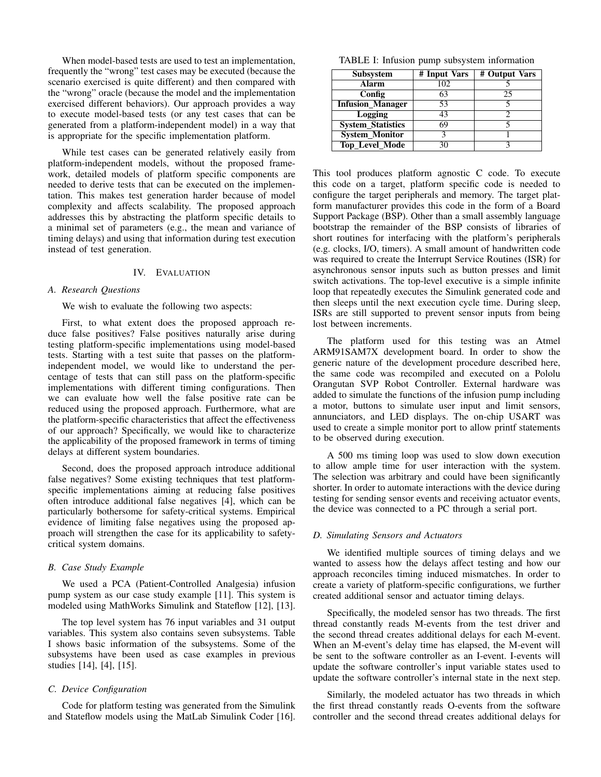When model-based tests are used to test an implementation, frequently the "wrong" test cases may be executed (because the scenario exercised is quite different) and then compared with the "wrong" oracle (because the model and the implementation exercised different behaviors). Our approach provides a way to execute model-based tests (or any test cases that can be generated from a platform-independent model) in a way that is appropriate for the specific implementation platform.

While test cases can be generated relatively easily from platform-independent models, without the proposed framework, detailed models of platform specific components are needed to derive tests that can be executed on the implementation. This makes test generation harder because of model complexity and affects scalability. The proposed approach addresses this by abstracting the platform specific details to a minimal set of parameters (e.g., the mean and variance of timing delays) and using that information during test execution instead of test generation.

#### IV. EVALUATION

#### *A. Research Questions*

We wish to evaluate the following two aspects:

First, to what extent does the proposed approach reduce false positives? False positives naturally arise during testing platform-specific implementations using model-based tests. Starting with a test suite that passes on the platformindependent model, we would like to understand the percentage of tests that can still pass on the platform-specific implementations with different timing configurations. Then we can evaluate how well the false positive rate can be reduced using the proposed approach. Furthermore, what are the platform-specific characteristics that affect the effectiveness of our approach? Specifically, we would like to characterize the applicability of the proposed framework in terms of timing delays at different system boundaries.

Second, does the proposed approach introduce additional false negatives? Some existing techniques that test platformspecific implementations aiming at reducing false positives often introduce additional false negatives [4], which can be particularly bothersome for safety-critical systems. Empirical evidence of limiting false negatives using the proposed approach will strengthen the case for its applicability to safetycritical system domains.

#### *B. Case Study Example*

We used a PCA (Patient-Controlled Analgesia) infusion pump system as our case study example [11]. This system is modeled using MathWorks Simulink and Stateflow [12], [13].

The top level system has 76 input variables and 31 output variables. This system also contains seven subsystems. Table I shows basic information of the subsystems. Some of the subsystems have been used as case examples in previous studies [14], [4], [15].

#### *C. Device Configuration*

Code for platform testing was generated from the Simulink and Stateflow models using the MatLab Simulink Coder [16].

TABLE I: Infusion pump subsystem information

| <b>Subsystem</b>         | # Input Vars | # Output Vars |  |
|--------------------------|--------------|---------------|--|
| Alarm                    | 102          |               |  |
| Config                   | 63           | 25            |  |
| <b>Infusion Manager</b>  | 53           |               |  |
| Logging                  | 43           |               |  |
| <b>System_Statistics</b> | 69           |               |  |
| <b>System Monitor</b>    |              |               |  |
| <b>Top Level Mode</b>    | 30           |               |  |

This tool produces platform agnostic C code. To execute this code on a target, platform specific code is needed to configure the target peripherals and memory. The target platform manufacturer provides this code in the form of a Board Support Package (BSP). Other than a small assembly language bootstrap the remainder of the BSP consists of libraries of short routines for interfacing with the platform's peripherals (e.g. clocks, I/O, timers). A small amount of handwritten code was required to create the Interrupt Service Routines (ISR) for asynchronous sensor inputs such as button presses and limit switch activations. The top-level executive is a simple infinite loop that repeatedly executes the Simulink generated code and then sleeps until the next execution cycle time. During sleep, ISRs are still supported to prevent sensor inputs from being lost between increments.

The platform used for this testing was an Atmel ARM91SAM7X development board. In order to show the generic nature of the development procedure described here, the same code was recompiled and executed on a Pololu Orangutan SVP Robot Controller. External hardware was added to simulate the functions of the infusion pump including a motor, buttons to simulate user input and limit sensors, annunciators, and LED displays. The on-chip USART was used to create a simple monitor port to allow printf statements to be observed during execution.

A 500 ms timing loop was used to slow down execution to allow ample time for user interaction with the system. The selection was arbitrary and could have been significantly shorter. In order to automate interactions with the device during testing for sending sensor events and receiving actuator events, the device was connected to a PC through a serial port.

#### *D. Simulating Sensors and Actuators*

We identified multiple sources of timing delays and we wanted to assess how the delays affect testing and how our approach reconciles timing induced mismatches. In order to create a variety of platform-specific configurations, we further created additional sensor and actuator timing delays.

Specifically, the modeled sensor has two threads. The first thread constantly reads M-events from the test driver and the second thread creates additional delays for each M-event. When an M-event's delay time has elapsed, the M-event will be sent to the software controller as an I-event. I-events will update the software controller's input variable states used to update the software controller's internal state in the next step.

Similarly, the modeled actuator has two threads in which the first thread constantly reads O-events from the software controller and the second thread creates additional delays for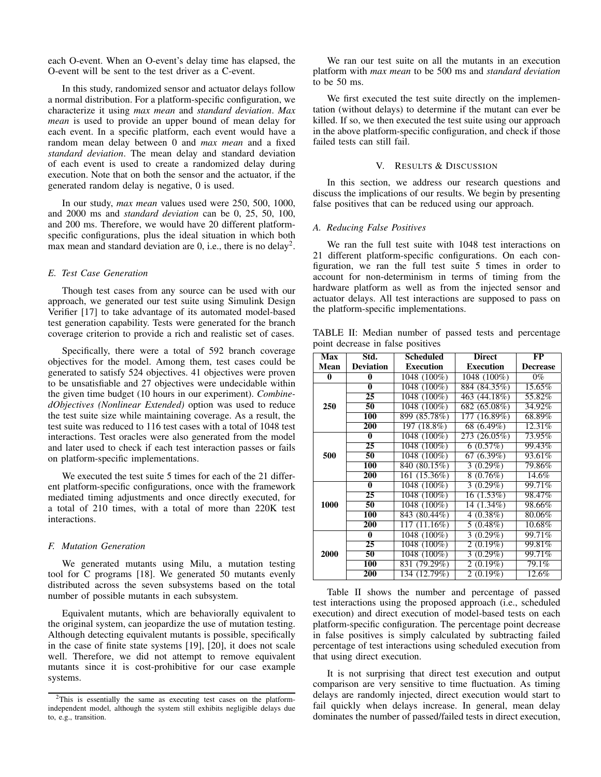each O-event. When an O-event's delay time has elapsed, the O-event will be sent to the test driver as a C-event.

In this study, randomized sensor and actuator delays follow a normal distribution. For a platform-specific configuration, we characterize it using *max mean* and *standard deviation*. *Max mean* is used to provide an upper bound of mean delay for each event. In a specific platform, each event would have a random mean delay between 0 and *max mean* and a fixed *standard deviation*. The mean delay and standard deviation of each event is used to create a randomized delay during execution. Note that on both the sensor and the actuator, if the generated random delay is negative, 0 is used.

In our study, *max mean* values used were 250, 500, 1000, and 2000 ms and *standard deviation* can be 0, 25, 50, 100, and 200 ms. Therefore, we would have 20 different platformspecific configurations, plus the ideal situation in which both max mean and standard deviation are 0, i.e., there is no delay<sup>2</sup>.

#### *E. Test Case Generation*

Though test cases from any source can be used with our approach, we generated our test suite using Simulink Design Verifier [17] to take advantage of its automated model-based test generation capability. Tests were generated for the branch coverage criterion to provide a rich and realistic set of cases.

Specifically, there were a total of 592 branch coverage objectives for the model. Among them, test cases could be generated to satisfy 524 objectives. 41 objectives were proven to be unsatisfiable and 27 objectives were undecidable within the given time budget (10 hours in our experiment). *CombinedObjectives (Nonlinear Extended)* option was used to reduce the test suite size while maintaining coverage. As a result, the test suite was reduced to 116 test cases with a total of 1048 test interactions. Test oracles were also generated from the model and later used to check if each test interaction passes or fails on platform-specific implementations.

We executed the test suite 5 times for each of the 21 different platform-specific configurations, once with the framework mediated timing adjustments and once directly executed, for a total of 210 times, with a total of more than 220K test interactions.

#### *F. Mutation Generation*

We generated mutants using Milu, a mutation testing tool for C programs [18]. We generated 50 mutants evenly distributed across the seven subsystems based on the total number of possible mutants in each subsystem.

Equivalent mutants, which are behaviorally equivalent to the original system, can jeopardize the use of mutation testing. Although detecting equivalent mutants is possible, specifically in the case of finite state systems [19], [20], it does not scale well. Therefore, we did not attempt to remove equivalent mutants since it is cost-prohibitive for our case example systems.

We ran our test suite on all the mutants in an execution platform with *max mean* to be 500 ms and *standard deviation* to be 50 ms.

We first executed the test suite directly on the implementation (without delays) to determine if the mutant can ever be killed. If so, we then executed the test suite using our approach in the above platform-specific configuration, and check if those failed tests can still fail.

#### V. RESULTS & DISCUSSION

In this section, we address our research questions and discuss the implications of our results. We begin by presenting false positives that can be reduced using our approach.

#### *A. Reducing False Positives*

We ran the full test suite with 1048 test interactions on 21 different platform-specific configurations. On each configuration, we ran the full test suite 5 times in order to account for non-determinism in terms of timing from the hardware platform as well as from the injected sensor and actuator delays. All test interactions are supposed to pass on the platform-specific implementations.

TABLE II: Median number of passed tests and percentage point decrease in false positives

| Max      | Std.             | <b>Scheduled</b> | <b>Direct</b> | $\overline{\text{FP}}$ |
|----------|------------------|------------------|---------------|------------------------|
| Mean     | <b>Deviation</b> | <b>Execution</b> | Execution     | <b>Decrease</b>        |
| $\bf{0}$ | 0                | 1048 (100%)      | 1048 (100%)   | $0\%$                  |
| 250      | 0                | 1048 (100%)      | 884 (84.35%)  | 15.65%                 |
|          | 25               | 1048 (100%)      | 463 (44.18%)  | 55.82%                 |
|          | 50               | 1048 (100%)      | 682 (65.08%)  | 34.92%                 |
|          | <b>100</b>       | 899 (85.78%)     | 177 (16.89%)  | 68.89%                 |
|          | 200              | 197 (18.8%)      | 68 $(6.49\%)$ | 12.31%                 |
| 500      | 0                | 1048 (100%)      | 273 (26.05%)  | 73.95%                 |
|          | $\overline{25}$  | 1048 (100%)      | 6(0.57%)      | 99.43%                 |
|          | $\overline{50}$  | 1048 (100%)      | 67(6.39%)     | 93.61%                 |
|          | 100              | 840 (80.15%)     | $3(0.29\%)$   | 79.86%                 |
|          | 200              | 161(15.36%)      | 8(0.76%)      | $14.6\%$               |
| 1000     | 0                | 1048 (100%)      | $3(0.29\%)$   | 99.71%                 |
|          | $\overline{25}$  | 1048 (100%)      | 16(1.53%)     | 98.47%                 |
|          | $\overline{50}$  | 1048 (100%)      | $14(1.34\%)$  | 98.66%                 |
|          | <b>100</b>       | 843 (80.44%)     | $4(0.38\%)$   | 80.06%                 |
|          | 200              | 117(11.16%)      | $5(0.48\%)$   | 10.68%                 |
| 2000     | 0                | 1048 (100%)      | $3(0.29\%)$   | 99.71%                 |
|          | $\overline{25}$  | 1048 (100%)      | 2(0.19%)      | 99.81%                 |
|          | $\overline{50}$  | 1048 (100%)      | $3(0.29\%)$   | 99.71%                 |
|          | <b>100</b>       | 831 (79.29%)     | 2(0.19%)      | 79.1%                  |
|          | 200              | 134 (12.79%)     | 2(0.19%)      | $12.6\%$               |

Table II shows the number and percentage of passed test interactions using the proposed approach (i.e., scheduled execution) and direct execution of model-based tests on each platform-specific configuration. The percentage point decrease in false positives is simply calculated by subtracting failed percentage of test interactions using scheduled execution from that using direct execution.

It is not surprising that direct test execution and output comparison are very sensitive to time fluctuation. As timing delays are randomly injected, direct execution would start to fail quickly when delays increase. In general, mean delay dominates the number of passed/failed tests in direct execution,

<sup>&</sup>lt;sup>2</sup>This is essentially the same as executing test cases on the platformindependent model, although the system still exhibits negligible delays due to, e.g., transition.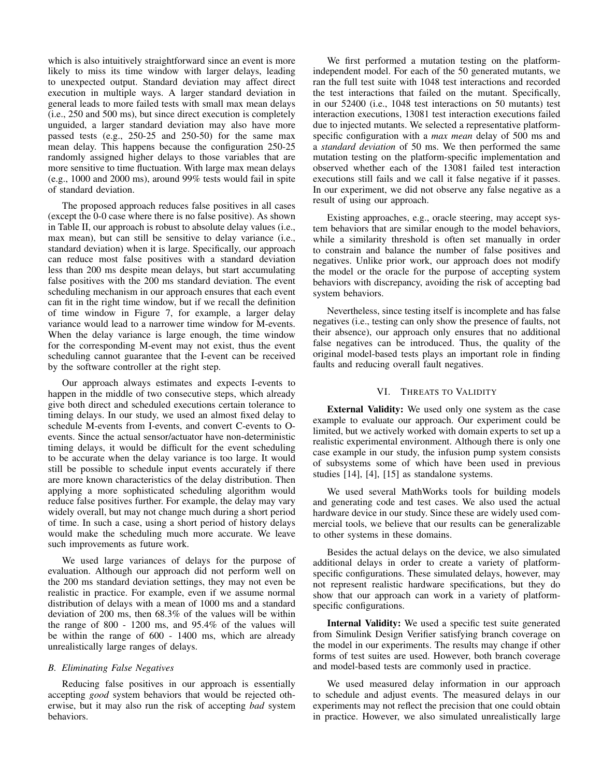which is also intuitively straightforward since an event is more likely to miss its time window with larger delays, leading to unexpected output. Standard deviation may affect direct execution in multiple ways. A larger standard deviation in general leads to more failed tests with small max mean delays (i.e., 250 and 500 ms), but since direct execution is completely unguided, a larger standard deviation may also have more passed tests (e.g., 250-25 and 250-50) for the same max mean delay. This happens because the configuration 250-25 randomly assigned higher delays to those variables that are more sensitive to time fluctuation. With large max mean delays (e.g., 1000 and 2000 ms), around 99% tests would fail in spite of standard deviation.

The proposed approach reduces false positives in all cases (except the 0-0 case where there is no false positive). As shown in Table II, our approach is robust to absolute delay values (i.e., max mean), but can still be sensitive to delay variance (i.e., standard deviation) when it is large. Specifically, our approach can reduce most false positives with a standard deviation less than 200 ms despite mean delays, but start accumulating false positives with the 200 ms standard deviation. The event scheduling mechanism in our approach ensures that each event can fit in the right time window, but if we recall the definition of time window in Figure 7, for example, a larger delay variance would lead to a narrower time window for M-events. When the delay variance is large enough, the time window for the corresponding M-event may not exist, thus the event scheduling cannot guarantee that the I-event can be received by the software controller at the right step.

Our approach always estimates and expects I-events to happen in the middle of two consecutive steps, which already give both direct and scheduled executions certain tolerance to timing delays. In our study, we used an almost fixed delay to schedule M-events from I-events, and convert C-events to Oevents. Since the actual sensor/actuator have non-deterministic timing delays, it would be difficult for the event scheduling to be accurate when the delay variance is too large. It would still be possible to schedule input events accurately if there are more known characteristics of the delay distribution. Then applying a more sophisticated scheduling algorithm would reduce false positives further. For example, the delay may vary widely overall, but may not change much during a short period of time. In such a case, using a short period of history delays would make the scheduling much more accurate. We leave such improvements as future work.

We used large variances of delays for the purpose of evaluation. Although our approach did not perform well on the 200 ms standard deviation settings, they may not even be realistic in practice. For example, even if we assume normal distribution of delays with a mean of 1000 ms and a standard deviation of 200 ms, then 68.3% of the values will be within the range of 800 - 1200 ms, and 95.4% of the values will be within the range of 600 - 1400 ms, which are already unrealistically large ranges of delays.

#### *B. Eliminating False Negatives*

Reducing false positives in our approach is essentially accepting *good* system behaviors that would be rejected otherwise, but it may also run the risk of accepting *bad* system behaviors.

We first performed a mutation testing on the platformindependent model. For each of the 50 generated mutants, we ran the full test suite with 1048 test interactions and recorded the test interactions that failed on the mutant. Specifically, in our 52400 (i.e., 1048 test interactions on 50 mutants) test interaction executions, 13081 test interaction executions failed due to injected mutants. We selected a representative platformspecific configuration with a *max mean* delay of 500 ms and a *standard deviation* of 50 ms. We then performed the same mutation testing on the platform-specific implementation and observed whether each of the 13081 failed test interaction executions still fails and we call it false negative if it passes. In our experiment, we did not observe any false negative as a result of using our approach.

Existing approaches, e.g., oracle steering, may accept system behaviors that are similar enough to the model behaviors, while a similarity threshold is often set manually in order to constrain and balance the number of false positives and negatives. Unlike prior work, our approach does not modify the model or the oracle for the purpose of accepting system behaviors with discrepancy, avoiding the risk of accepting bad system behaviors.

Nevertheless, since testing itself is incomplete and has false negatives (i.e., testing can only show the presence of faults, not their absence), our approach only ensures that no additional false negatives can be introduced. Thus, the quality of the original model-based tests plays an important role in finding faults and reducing overall fault negatives.

#### VI. THREATS TO VALIDITY

External Validity: We used only one system as the case example to evaluate our approach. Our experiment could be limited, but we actively worked with domain experts to set up a realistic experimental environment. Although there is only one case example in our study, the infusion pump system consists of subsystems some of which have been used in previous studies [14], [4], [15] as standalone systems.

We used several MathWorks tools for building models and generating code and test cases. We also used the actual hardware device in our study. Since these are widely used commercial tools, we believe that our results can be generalizable to other systems in these domains.

Besides the actual delays on the device, we also simulated additional delays in order to create a variety of platformspecific configurations. These simulated delays, however, may not represent realistic hardware specifications, but they do show that our approach can work in a variety of platformspecific configurations.

Internal Validity: We used a specific test suite generated from Simulink Design Verifier satisfying branch coverage on the model in our experiments. The results may change if other forms of test suites are used. However, both branch coverage and model-based tests are commonly used in practice.

We used measured delay information in our approach to schedule and adjust events. The measured delays in our experiments may not reflect the precision that one could obtain in practice. However, we also simulated unrealistically large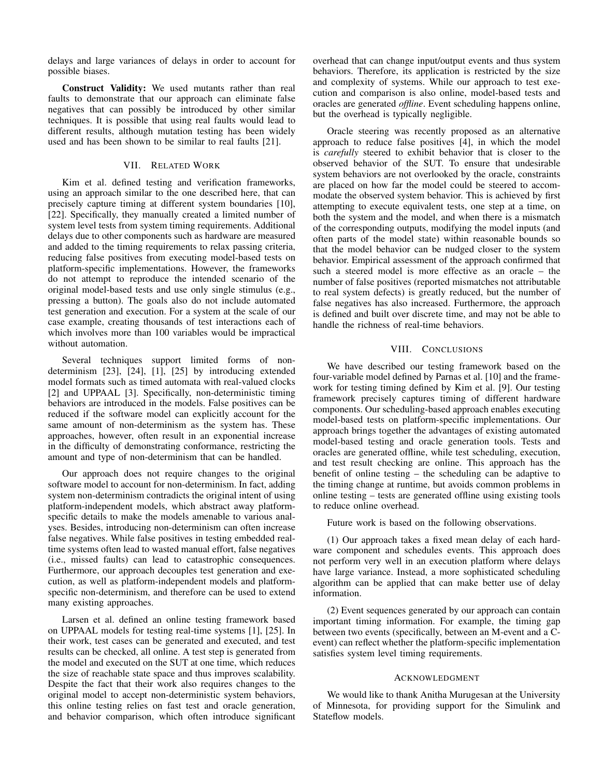delays and large variances of delays in order to account for possible biases.

Construct Validity: We used mutants rather than real faults to demonstrate that our approach can eliminate false negatives that can possibly be introduced by other similar techniques. It is possible that using real faults would lead to different results, although mutation testing has been widely used and has been shown to be similar to real faults [21].

#### VII. RELATED WORK

Kim et al. defined testing and verification frameworks, using an approach similar to the one described here, that can precisely capture timing at different system boundaries [10], [22]. Specifically, they manually created a limited number of system level tests from system timing requirements. Additional delays due to other components such as hardware are measured and added to the timing requirements to relax passing criteria, reducing false positives from executing model-based tests on platform-specific implementations. However, the frameworks do not attempt to reproduce the intended scenario of the original model-based tests and use only single stimulus (e.g., pressing a button). The goals also do not include automated test generation and execution. For a system at the scale of our case example, creating thousands of test interactions each of which involves more than 100 variables would be impractical without automation.

Several techniques support limited forms of nondeterminism [23], [24], [1], [25] by introducing extended model formats such as timed automata with real-valued clocks [2] and UPPAAL [3]. Specifically, non-deterministic timing behaviors are introduced in the models. False positives can be reduced if the software model can explicitly account for the same amount of non-determinism as the system has. These approaches, however, often result in an exponential increase in the difficulty of demonstrating conformance, restricting the amount and type of non-determinism that can be handled.

Our approach does not require changes to the original software model to account for non-determinism. In fact, adding system non-determinism contradicts the original intent of using platform-independent models, which abstract away platformspecific details to make the models amenable to various analyses. Besides, introducing non-determinism can often increase false negatives. While false positives in testing embedded realtime systems often lead to wasted manual effort, false negatives (i.e., missed faults) can lead to catastrophic consequences. Furthermore, our approach decouples test generation and execution, as well as platform-independent models and platformspecific non-determinism, and therefore can be used to extend many existing approaches.

Larsen et al. defined an online testing framework based on UPPAAL models for testing real-time systems [1], [25]. In their work, test cases can be generated and executed, and test results can be checked, all online. A test step is generated from the model and executed on the SUT at one time, which reduces the size of reachable state space and thus improves scalability. Despite the fact that their work also requires changes to the original model to accept non-deterministic system behaviors, this online testing relies on fast test and oracle generation, and behavior comparison, which often introduce significant overhead that can change input/output events and thus system behaviors. Therefore, its application is restricted by the size and complexity of systems. While our approach to test execution and comparison is also online, model-based tests and oracles are generated *offline*. Event scheduling happens online, but the overhead is typically negligible.

Oracle steering was recently proposed as an alternative approach to reduce false positives [4], in which the model is *carefully* steered to exhibit behavior that is closer to the observed behavior of the SUT. To ensure that undesirable system behaviors are not overlooked by the oracle, constraints are placed on how far the model could be steered to accommodate the observed system behavior. This is achieved by first attempting to execute equivalent tests, one step at a time, on both the system and the model, and when there is a mismatch of the corresponding outputs, modifying the model inputs (and often parts of the model state) within reasonable bounds so that the model behavior can be nudged closer to the system behavior. Empirical assessment of the approach confirmed that such a steered model is more effective as an oracle – the number of false positives (reported mismatches not attributable to real system defects) is greatly reduced, but the number of false negatives has also increased. Furthermore, the approach is defined and built over discrete time, and may not be able to handle the richness of real-time behaviors.

#### VIII. CONCLUSIONS

We have described our testing framework based on the four-variable model defined by Parnas et al. [10] and the framework for testing timing defined by Kim et al. [9]. Our testing framework precisely captures timing of different hardware components. Our scheduling-based approach enables executing model-based tests on platform-specific implementations. Our approach brings together the advantages of existing automated model-based testing and oracle generation tools. Tests and oracles are generated offline, while test scheduling, execution, and test result checking are online. This approach has the benefit of online testing – the scheduling can be adaptive to the timing change at runtime, but avoids common problems in online testing – tests are generated offline using existing tools to reduce online overhead.

Future work is based on the following observations.

(1) Our approach takes a fixed mean delay of each hardware component and schedules events. This approach does not perform very well in an execution platform where delays have large variance. Instead, a more sophisticated scheduling algorithm can be applied that can make better use of delay information.

(2) Event sequences generated by our approach can contain important timing information. For example, the timing gap between two events (specifically, between an M-event and a Cevent) can reflect whether the platform-specific implementation satisfies system level timing requirements.

#### ACKNOWLEDGMENT

We would like to thank Anitha Murugesan at the University of Minnesota, for providing support for the Simulink and Stateflow models.